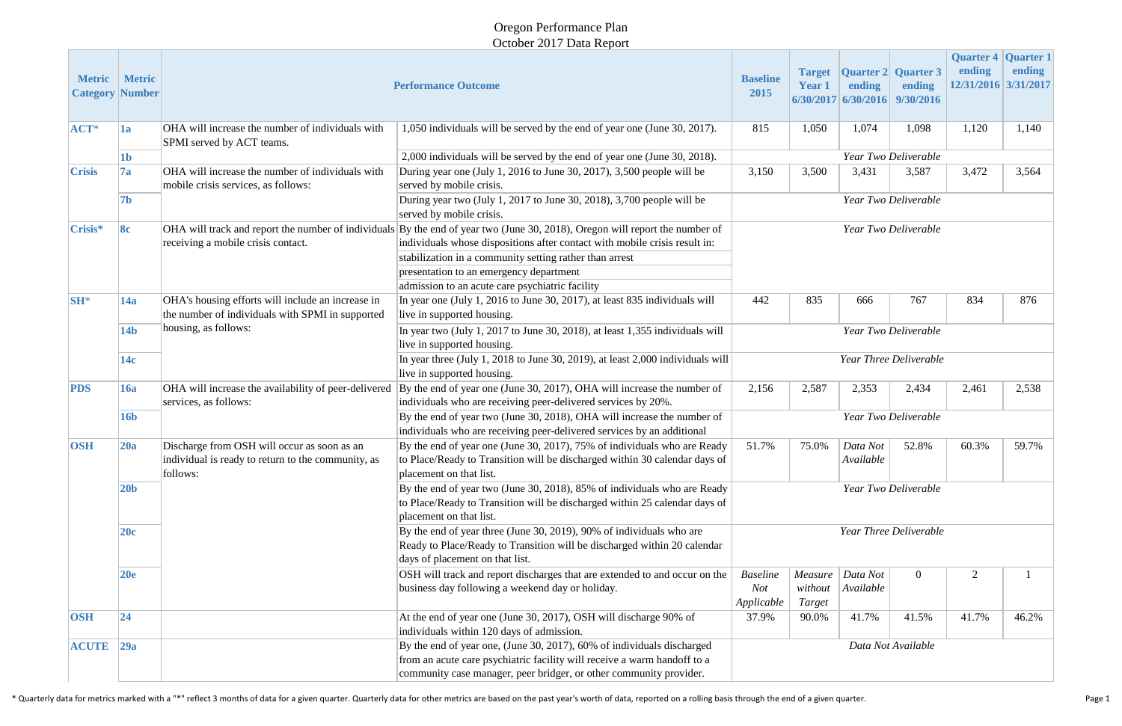### Oregon Performance Plan October 2017 Data Report

| <b>Metric</b> | <b>Metric</b><br><b>Category Number</b> |                                                                                                               | <b>Performance Outcome</b>                                                                                                                                                                                                                                                                                                                                          | <b>Baseline</b><br>2015              | <b>Target</b><br><b>Year 1</b> | <b>Quarter 2 Quarter 3</b><br>ending<br>6/30/2017 6/30/2016 9/30/2016 | ending         | <b>Quarter 4 Quarter 1</b><br>ending<br>12/31/2016 3/31/2017 | ending |
|---------------|-----------------------------------------|---------------------------------------------------------------------------------------------------------------|---------------------------------------------------------------------------------------------------------------------------------------------------------------------------------------------------------------------------------------------------------------------------------------------------------------------------------------------------------------------|--------------------------------------|--------------------------------|-----------------------------------------------------------------------|----------------|--------------------------------------------------------------|--------|
| $ACT*$        | 1a                                      | OHA will increase the number of individuals with<br>SPMI served by ACT teams.                                 | 1,050 individuals will be served by the end of year one (June 30, 2017).                                                                                                                                                                                                                                                                                            |                                      | 1,050                          | 1,074                                                                 | 1,098          | 1,120                                                        | 1,140  |
|               | $\mathbf{1}\mathbf{b}$                  |                                                                                                               | 2,000 individuals will be served by the end of year one (June 30, 2018).                                                                                                                                                                                                                                                                                            | Year Two Deliverable                 |                                |                                                                       |                |                                                              |        |
| <b>Crisis</b> | 7a                                      | OHA will increase the number of individuals with<br>mobile crisis services, as follows:                       | During year one (July 1, 2016 to June 30, 2017), 3,500 people will be<br>served by mobile crisis.                                                                                                                                                                                                                                                                   | 3,150                                | 3,500                          | 3,431                                                                 | 3,587          | 3,472                                                        | 3,564  |
|               | 7 <sub>b</sub>                          |                                                                                                               | During year two (July 1, 2017 to June 30, 2018), 3,700 people will be<br>served by mobile crisis.                                                                                                                                                                                                                                                                   | Year Two Deliverable                 |                                |                                                                       |                |                                                              |        |
| Crisis*       | 8c                                      | receiving a mobile crisis contact.                                                                            | OHA will track and report the number of individuals By the end of year two (June 30, 2018), Oregon will report the number of<br>individuals whose dispositions after contact with mobile crisis result in:<br>stabilization in a community setting rather than arrest<br>presentation to an emergency department<br>admission to an acute care psychiatric facility | Year Two Deliverable                 |                                |                                                                       |                |                                                              |        |
| <b>SH*</b>    | 14a                                     | OHA's housing efforts will include an increase in<br>the number of individuals with SPMI in supported         | In year one (July 1, 2016 to June 30, 2017), at least 835 individuals will<br>live in supported housing.                                                                                                                                                                                                                                                            | 442                                  | 835                            | 666                                                                   | 767            | 834                                                          | 876    |
|               | 14 <sub>b</sub>                         | housing, as follows:                                                                                          | In year two (July 1, 2017 to June 30, 2018), at least 1,355 individuals will<br>live in supported housing.                                                                                                                                                                                                                                                          | Year Two Deliverable                 |                                |                                                                       |                |                                                              |        |
|               | 14c                                     |                                                                                                               | In year three (July 1, 2018 to June 30, 2019), at least $2,000$ individuals will<br>live in supported housing.                                                                                                                                                                                                                                                      | <b>Year Three Deliverable</b>        |                                |                                                                       |                |                                                              |        |
| <b>PDS</b>    | $\vert 16a \vert$                       | OHA will increase the availability of peer-delivered<br>services, as follows:                                 | By the end of year one (June 30, 2017), OHA will increase the number of<br>individuals who are receiving peer-delivered services by 20%.                                                                                                                                                                                                                            | 2,156                                | 2,587                          | 2,353                                                                 | 2,434          | 2,461                                                        | 2,538  |
|               | <b>16b</b>                              |                                                                                                               | By the end of year two (June 30, 2018), OHA will increase the number of<br>individuals who are receiving peer-delivered services by an additional                                                                                                                                                                                                                   | Year Two Deliverable                 |                                |                                                                       |                |                                                              |        |
| <b>OSH</b>    | 20a                                     | Discharge from OSH will occur as soon as an<br>individual is ready to return to the community, as<br>follows: | By the end of year one (June 30, 2017), 75% of individuals who are Ready<br>to Place/Ready to Transition will be discharged within 30 calendar days of<br>placement on that list.                                                                                                                                                                                   | 51.7%                                | 75.0%                          | Data Not<br>Available                                                 | 52.8%          | 60.3%                                                        | 59.7%  |
|               | 20 <sub>b</sub>                         |                                                                                                               | By the end of year two (June 30, 2018), 85% of individuals who are Ready<br>to Place/Ready to Transition will be discharged within 25 calendar days of<br>placement on that list.                                                                                                                                                                                   | Year Two Deliverable                 |                                |                                                                       |                |                                                              |        |
|               | 20c                                     |                                                                                                               | By the end of year three (June 30, 2019), 90% of individuals who are<br>Ready to Place/Ready to Transition will be discharged within 20 calendar<br>days of placement on that list.                                                                                                                                                                                 | Year Three Deliverable               |                                |                                                                       |                |                                                              |        |
|               | 20e                                     |                                                                                                               | OSH will track and report discharges that are extended to and occur on the<br>business day following a weekend day or holiday.                                                                                                                                                                                                                                      | <b>Baseline</b><br>Not<br>Applicable | Measure<br>without<br>Target   | Data Not<br>Available                                                 | $\overline{0}$ | 2                                                            |        |
| <b>OSH</b>    | 24                                      |                                                                                                               | At the end of year one (June 30, 2017), OSH will discharge 90% of<br>individuals within 120 days of admission.                                                                                                                                                                                                                                                      | 37.9%                                | 90.0%                          | 41.7%                                                                 | 41.5%          | 41.7%                                                        | 46.2%  |
| $ ACUTE $ 29a |                                         |                                                                                                               | By the end of year one, (June 30, 2017), 60% of individuals discharged<br>from an acute care psychiatric facility will receive a warm handoff to a<br>community case manager, peer bridger, or other community provider.                                                                                                                                            | Data Not Available                   |                                |                                                                       |                |                                                              |        |

\* Quarterly data for metrics marked with a "\*" reflect 3 months of data for a given quarter. Quarterly data for other metrics are based on the past year's worth of data, reported on a rolling basis through the end of a giv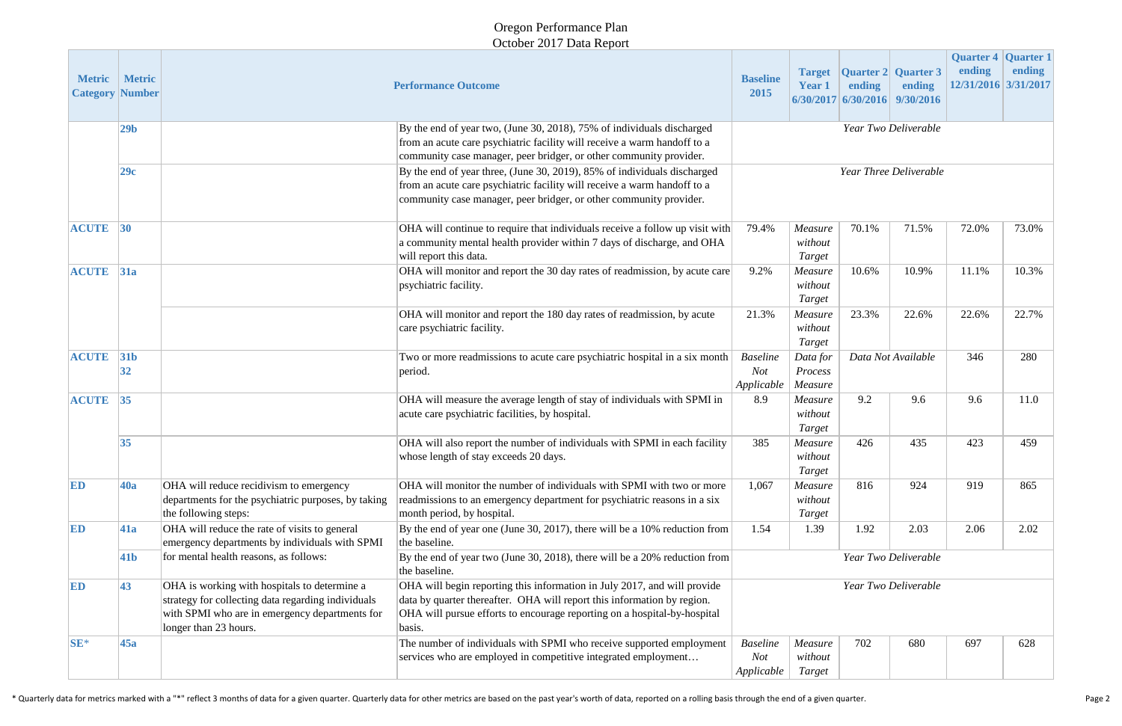## Oregon Performance Plan October 2017 Data Report

| <b>Metric</b> | <b>Metric</b><br><b>Category Number</b> |                                                                                                                                                                               | <b>Performance Outcome</b>                                                                                                                                                                                                                | <b>Baseline</b><br>2015                                                                             | <b>Target</b><br><b>Year 1</b> | ending | <b>Quarter 2 Quarter 3</b><br>ending<br>$6/30/2017$ 6/30/2016 9/30/2016 | <b>Quarter 4 Quarter 1</b><br>ending<br>12/31/2016 3/31/2017 | ending |
|---------------|-----------------------------------------|-------------------------------------------------------------------------------------------------------------------------------------------------------------------------------|-------------------------------------------------------------------------------------------------------------------------------------------------------------------------------------------------------------------------------------------|-----------------------------------------------------------------------------------------------------|--------------------------------|--------|-------------------------------------------------------------------------|--------------------------------------------------------------|--------|
|               | 29 <sub>b</sub>                         |                                                                                                                                                                               | By the end of year two, (June 30, 2018), 75% of individuals discharged<br>from an acute care psychiatric facility will receive a warm handoff to a<br>community case manager, peer bridger, or other community provider.                  |                                                                                                     |                                |        | Year Two Deliverable                                                    |                                                              |        |
|               | 29c                                     |                                                                                                                                                                               | By the end of year three, (June 30, 2019), 85% of individuals discharged<br>from an acute care psychiatric facility will receive a warm handoff to a<br>community case manager, peer bridger, or other community provider.                | <b>Year Three Deliverable</b>                                                                       |                                |        |                                                                         |                                                              |        |
| <b>ACUTE</b>  | 30                                      |                                                                                                                                                                               | OHA will continue to require that individuals receive a follow up visit with<br>a community mental health provider within 7 days of discharge, and OHA<br>will report this data.                                                          | 79.4%                                                                                               | Measure<br>without<br>Target   | 70.1%  | 71.5%                                                                   | 72.0%                                                        | 73.0%  |
| <b>ACUTE</b>  | 31a                                     |                                                                                                                                                                               | OHA will monitor and report the 30 day rates of readmission, by acute care<br>psychiatric facility.                                                                                                                                       | 9.2%                                                                                                | Measure<br>without<br>Target   | 10.6%  | 10.9%                                                                   | 11.1%                                                        | 10.3%  |
|               |                                         |                                                                                                                                                                               | OHA will monitor and report the 180 day rates of readmission, by acute<br>care psychiatric facility.                                                                                                                                      | 21.3%                                                                                               | Measure<br>without<br>Target   | 23.3%  | 22.6%                                                                   | 22.6%                                                        | 22.7%  |
| <b>ACUTE</b>  | 31 <sub>b</sub><br>32                   |                                                                                                                                                                               | Two or more readmissions to acute care psychiatric hospital in a six month<br>period.                                                                                                                                                     | 346<br><b>Baseline</b><br>Data Not Available<br>Data for<br>Not<br>Process<br>Applicable<br>Measure |                                |        | 280                                                                     |                                                              |        |
| <b>ACUTE</b>  | 35                                      |                                                                                                                                                                               | OHA will measure the average length of stay of individuals with SPMI in<br>acute care psychiatric facilities, by hospital.                                                                                                                | 8.9                                                                                                 | Measure<br>without<br>Target   | 9.2    | 9.6                                                                     | 9.6                                                          | 11.0   |
|               | 35                                      |                                                                                                                                                                               | OHA will also report the number of individuals with SPMI in each facility<br>whose length of stay exceeds 20 days.                                                                                                                        | 385                                                                                                 | Measure<br>without<br>Target   | 426    | 435                                                                     | 423                                                          | 459    |
| ED            | <b>40a</b>                              | OHA will reduce recidivism to emergency<br>departments for the psychiatric purposes, by taking<br>the following steps:                                                        | OHA will monitor the number of individuals with SPMI with two or more<br>readmissions to an emergency department for psychiatric reasons in a six<br>month period, by hospital.                                                           | 1,067                                                                                               | Measure<br>without<br>Target   | 816    | 924                                                                     | 919                                                          | 865    |
| ED            | <b>41a</b>                              | OHA will reduce the rate of visits to general<br>emergency departments by individuals with SPMI                                                                               | By the end of year one (June 30, 2017), there will be a 10% reduction from<br>the baseline.                                                                                                                                               | 1.54                                                                                                | 1.39                           | 1.92   | 2.03                                                                    | 2.06                                                         | 2.02   |
|               | 41 <sub>b</sub>                         | for mental health reasons, as follows:                                                                                                                                        | By the end of year two (June 30, 2018), there will be a 20% reduction from<br>the baseline.                                                                                                                                               | Year Two Deliverable                                                                                |                                |        |                                                                         |                                                              |        |
| ED            | 43                                      | OHA is working with hospitals to determine a<br>strategy for collecting data regarding individuals<br>with SPMI who are in emergency departments for<br>longer than 23 hours. | OHA will begin reporting this information in July 2017, and will provide<br>data by quarter thereafter. OHA will report this information by region.<br>OHA will pursue efforts to encourage reporting on a hospital-by-hospital<br>basis. | Year Two Deliverable                                                                                |                                |        |                                                                         |                                                              |        |
| $SE*$         | 45a                                     |                                                                                                                                                                               | The number of individuals with SPMI who receive supported employment<br>services who are employed in competitive integrated employment                                                                                                    | <b>Baseline</b><br>Not<br>Applicable                                                                | Measure<br>without<br>Target   | 702    | 680                                                                     | 697                                                          | 628    |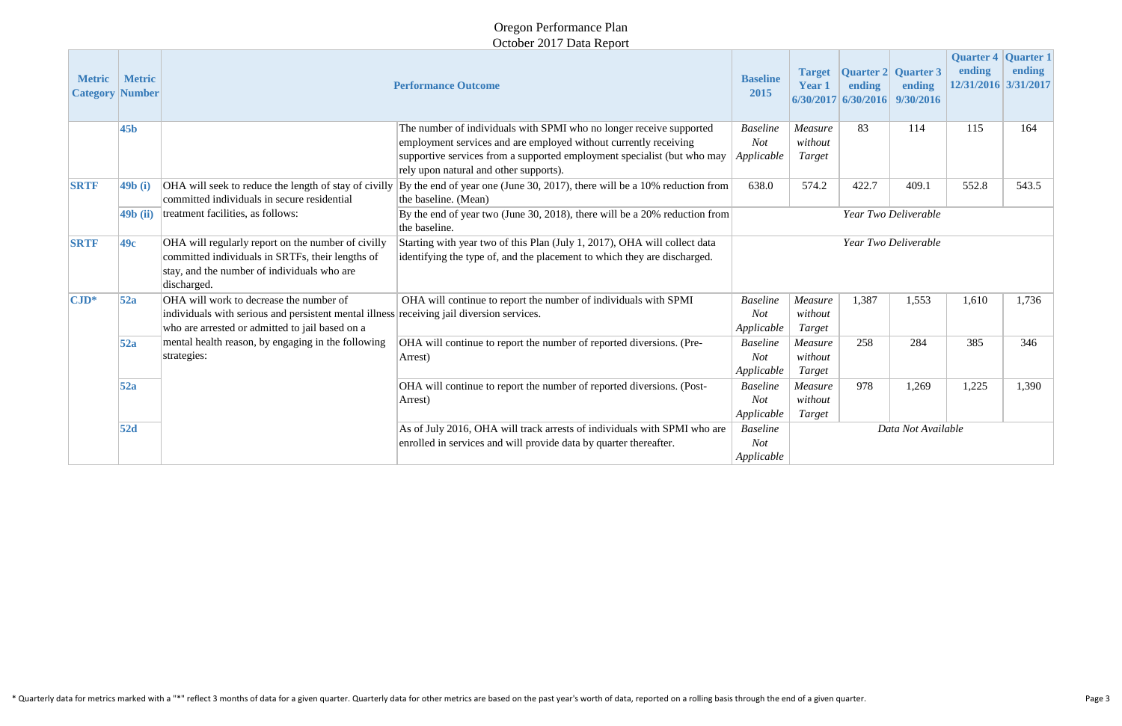#### Oregon Performance Plan October 2017 Data Report

|                                  |                                |                                                                                                                                                                                         | $\sim$ Clock $2017$ Data Report                                                                                                                                                                                                                              |                                             |                              |                                                               |                      |                                                       |        |  |  |  |
|----------------------------------|--------------------------------|-----------------------------------------------------------------------------------------------------------------------------------------------------------------------------------------|--------------------------------------------------------------------------------------------------------------------------------------------------------------------------------------------------------------------------------------------------------------|---------------------------------------------|------------------------------|---------------------------------------------------------------|----------------------|-------------------------------------------------------|--------|--|--|--|
| <b>Metric</b><br><b>Category</b> | <b>Metric</b><br><b>Number</b> | <b>Performance Outcome</b>                                                                                                                                                              |                                                                                                                                                                                                                                                              | <b>Baseline</b><br>2015                     | <b>Target</b><br>Year 1      | <b>Quarter 2 Quarter 3</b><br>ending<br>$6/30/2017$ 6/30/2016 | ending<br>9/30/2016  | Quarter 4 Quarter 1<br>ending<br>12/31/2016 3/31/2017 | ending |  |  |  |
|                                  | 45 <sub>b</sub>                |                                                                                                                                                                                         | The number of individuals with SPMI who no longer receive supported<br>employment services and are employed without currently receiving<br>supportive services from a supported employment specialist (but who may<br>rely upon natural and other supports). | <b>Baseline</b><br><b>Not</b><br>Applicable | Measure<br>without<br>Target | 83                                                            | 114                  | 115                                                   | 164    |  |  |  |
| <b>SRTF</b>                      | $\vert$ 49b $\vert$ i)         | OHA will seek to reduce the length of stay of civilly<br>committed individuals in secure residential                                                                                    | By the end of year one (June 30, 2017), there will be a 10% reduction from<br>the baseline. (Mean)                                                                                                                                                           | 638.0                                       | 574.2                        | 422.7                                                         | 409.1                | 552.8                                                 | 543.5  |  |  |  |
| $49b$ (ii)                       |                                | treatment facilities, as follows:                                                                                                                                                       | By the end of year two (June 30, 2018), there will be a 20% reduction from<br>the baseline.                                                                                                                                                                  |                                             |                              |                                                               | Year Two Deliverable |                                                       |        |  |  |  |
| <b>SRTF</b>                      | 49c                            | OHA will regularly report on the number of civilly<br>committed individuals in SRTFs, their lengths of<br>stay, and the number of individuals who are<br>discharged.                    | Starting with year two of this Plan (July 1, 2017), OHA will collect data<br>identifying the type of, and the placement to which they are discharged.                                                                                                        | Year Two Deliverable                        |                              |                                                               |                      |                                                       |        |  |  |  |
| $\mathbf{CJD}^*$                 | 52a                            | OHA will work to decrease the number of<br>individuals with serious and persistent mental illness receiving jail diversion services.<br>who are arrested or admitted to jail based on a | OHA will continue to report the number of individuals with SPMI                                                                                                                                                                                              | <b>Baseline</b><br><b>Not</b><br>Applicable | Measure<br>without<br>Target | 1,387                                                         | 1,553                | 1,610                                                 | 1,736  |  |  |  |
|                                  | 52a                            | mental health reason, by engaging in the following<br>strategies:                                                                                                                       | OHA will continue to report the number of reported diversions. (Pre-<br>Arrest)                                                                                                                                                                              | <b>Baseline</b><br><b>Not</b><br>Applicable | Measure<br>without<br>Target | 258                                                           | 284                  | 385                                                   | 346    |  |  |  |
|                                  | 52a                            |                                                                                                                                                                                         | OHA will continue to report the number of reported diversions. (Post-<br>Arrest)                                                                                                                                                                             | <b>Baseline</b><br><b>Not</b><br>Applicable | Measure<br>without<br>Target | 978                                                           | 1,269                | 1,225                                                 | 1,390  |  |  |  |
| 52d                              |                                |                                                                                                                                                                                         | As of July 2016, OHA will track arrests of individuals with SPMI who are<br>enrolled in services and will provide data by quarter thereafter.                                                                                                                | <b>Baseline</b><br><b>Not</b><br>Applicable |                              |                                                               | Data Not Available   |                                                       |        |  |  |  |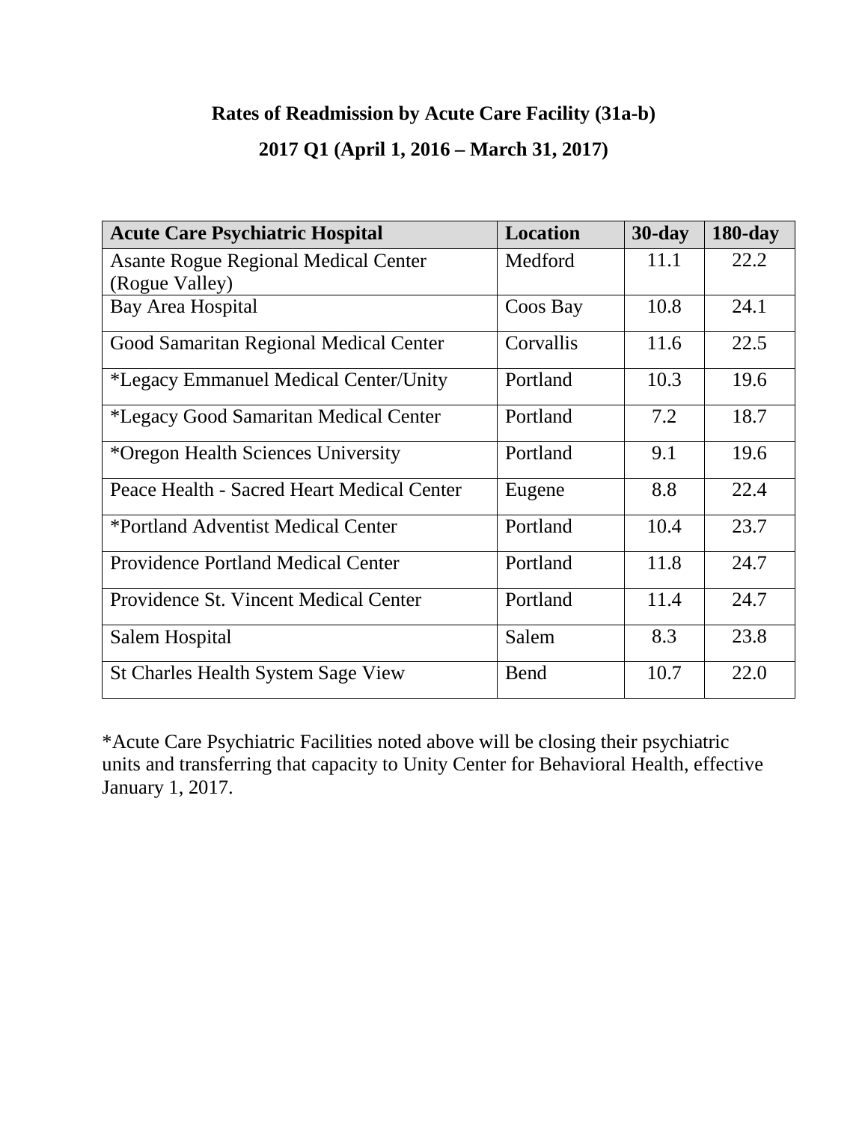## **Rates of Readmission by Acute Care Facility (31a-b)**

### **2017 Q1 (April 1, 2016 – March 31, 2017)**

| <b>Acute Care Psychiatric Hospital</b>      | Location    | $30$ -day | $180$ -day |
|---------------------------------------------|-------------|-----------|------------|
| <b>Asante Rogue Regional Medical Center</b> | Medford     | 11.1      | 22.2       |
| (Rogue Valley)                              |             |           |            |
| Bay Area Hospital                           | Coos Bay    | 10.8      | 24.1       |
| Good Samaritan Regional Medical Center      | Corvallis   | 11.6      | 22.5       |
| *Legacy Emmanuel Medical Center/Unity       | Portland    | 10.3      | 19.6       |
| *Legacy Good Samaritan Medical Center       | Portland    | 7.2       | 18.7       |
| *Oregon Health Sciences University          | Portland    | 9.1       | 19.6       |
| Peace Health - Sacred Heart Medical Center  | Eugene      | 8.8       | 22.4       |
| *Portland Adventist Medical Center          | Portland    | 10.4      | 23.7       |
| <b>Providence Portland Medical Center</b>   | Portland    | 11.8      | 24.7       |
| Providence St. Vincent Medical Center       | Portland    | 11.4      | 24.7       |
| Salem Hospital                              | Salem       | 8.3       | 23.8       |
| <b>St Charles Health System Sage View</b>   | <b>Bend</b> | 10.7      | 22.0       |

\*Acute Care Psychiatric Facilities noted above will be closing their psychiatric units and transferring that capacity to Unity Center for Behavioral Health, effective January 1, 2017.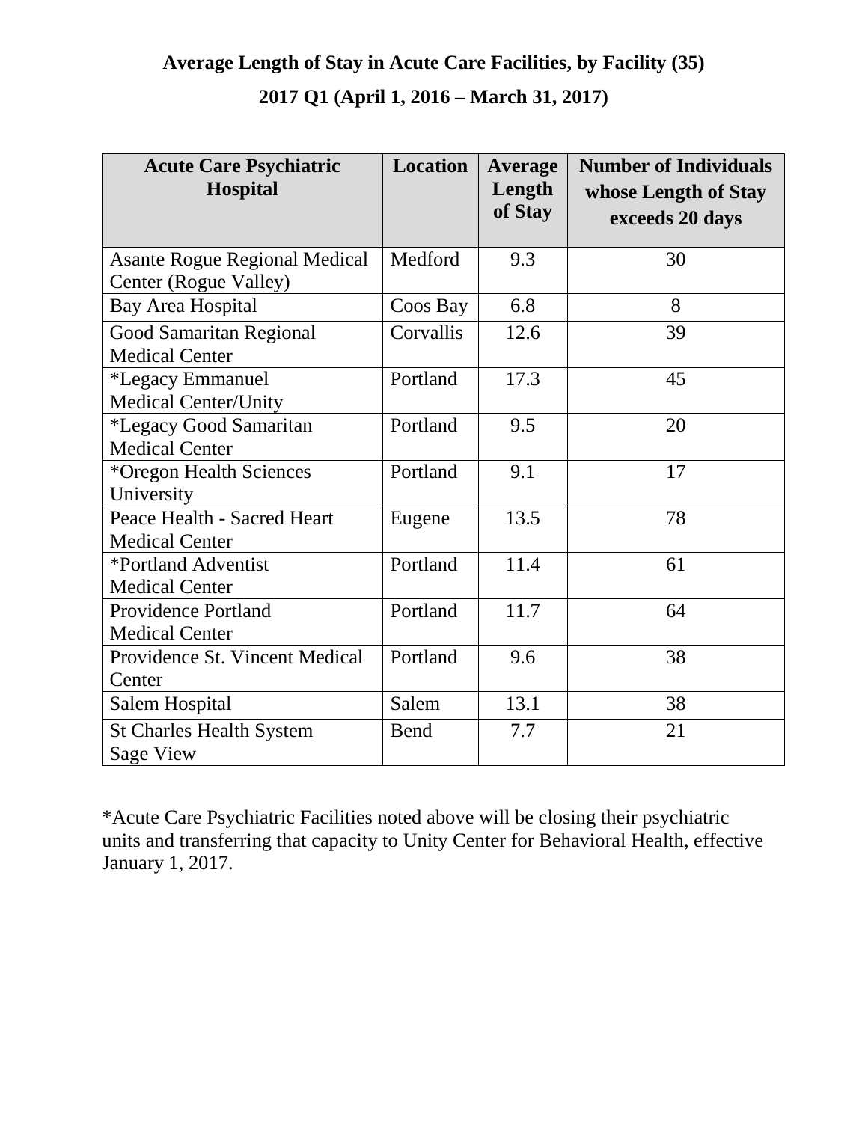## **Average Length of Stay in Acute Care Facilities, by Facility (35) 2017 Q1 (April 1, 2016 – March 31, 2017)**

| <b>Acute Care Psychiatric</b><br><b>Hospital</b>              | Location  | <b>Average</b><br>Length<br>of Stay | <b>Number of Individuals</b><br>whose Length of Stay<br>exceeds 20 days |
|---------------------------------------------------------------|-----------|-------------------------------------|-------------------------------------------------------------------------|
| <b>Asante Rogue Regional Medical</b><br>Center (Rogue Valley) | Medford   | 9.3                                 | 30                                                                      |
| Bay Area Hospital                                             | Coos Bay  | 6.8                                 | 8                                                                       |
| Good Samaritan Regional<br><b>Medical Center</b>              | Corvallis | 12.6                                | 39                                                                      |
| *Legacy Emmanuel<br><b>Medical Center/Unity</b>               | Portland  | 17.3                                | 45                                                                      |
| *Legacy Good Samaritan<br><b>Medical Center</b>               | Portland  | 9.5                                 | 20                                                                      |
| *Oregon Health Sciences<br>University                         | Portland  | 9.1                                 | 17                                                                      |
| Peace Health - Sacred Heart<br><b>Medical Center</b>          | Eugene    | 13.5                                | 78                                                                      |
| *Portland Adventist<br><b>Medical Center</b>                  | Portland  | 11.4                                | 61                                                                      |
| <b>Providence Portland</b><br><b>Medical Center</b>           | Portland  | 11.7                                | 64                                                                      |
| Providence St. Vincent Medical<br>Center                      | Portland  | 9.6                                 | 38                                                                      |
| Salem Hospital                                                | Salem     | 13.1                                | 38                                                                      |
| <b>St Charles Health System</b><br><b>Sage View</b>           | Bend      | 7.7                                 | 21                                                                      |

\*Acute Care Psychiatric Facilities noted above will be closing their psychiatric units and transferring that capacity to Unity Center for Behavioral Health, effective January 1, 2017.